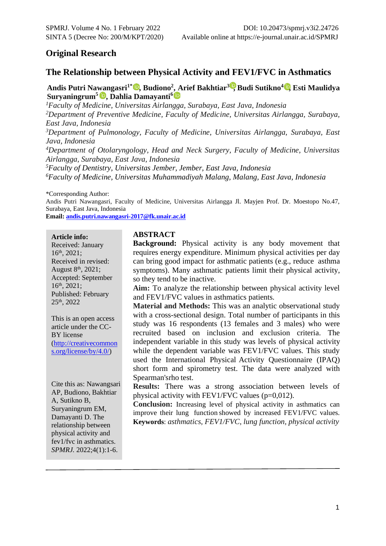# **Original Research**

# **The Relationship between Physical Activity and FEV1/FVC in Asthmatics**

**Andis Putri Na[wa](https://orcid.org/0000-0002-4156-975X)ngasri1\*, Budiono<sup>2</sup> [, A](https://orcid.org/0000-0003-2724-5510)rief Bakhtiar<sup>3</sup> [,](https://orcid.org/0000-0001-5959-0939) Budi Sutikno4 , Esti Maulidya Suryaningrum<sup>5</sup> , Dahlia Damayanti<sup>6</sup>**

*Faculty of Medicine, Universitas Airlangga, Surabaya, East Java, Indonesia Department of Preventive Medicine, Faculty of Medicine, Universitas Airlangga, Surabaya, East Java, Indonesia Department of Pulmonology, Faculty of Medicine, Universitas Airlangga, Surabaya, East Java, Indonesia Department of Otolaryngology, Head and Neck Surgery, Faculty of Medicine, Universitas Airlangga, Surabaya, East Java, Indonesia Faculty of Dentistry, Universitas Jember, Jember, East Java, Indonesia Faculty of Medicine, Universitas Muhammadiyah Malang, Malang, East Java, Indonesia*

\*Corresponding Author:

Andis Putri Nawangasri, Faculty of Medicine, Universitas Airlangga Jl. Mayjen Prof. Dr. Moestopo No.47, Surabaya, East Java, Indonesia

**Email: [andis.putri.nawangasri-2017@fk.unair.ac.id](mailto:andis.putri.nawangasri-2017@fk.unair.ac.id)**

**Article info:**

Received: January 16th, 2021; Received in revised: August  $8<sup>th</sup>$ , 2021; Accepted: September 16th, 2021; Published: February 25th, 2022

This is an open access article under the CC-BY license [\(http://creativecommon](http://creativecommons.org/license/by/4.0/) [s.org/license/by/4.0/\)](http://creativecommons.org/license/by/4.0/)

Cite this as: Nawangsari AP, Budiono, Bakhtiar A, Sutikno B, Suryaningrum EM, Damayanti D. The relationship between physical activity and fev1/fvc in asthmatics. *SPMRJ.* 2022;4(1):1-6.

#### **ABSTRACT**

**Background:** Physical activity is any body movement that requires energy expenditure. Minimum physical activities per day can bring good impact for asthmatic patients (e.g., reduce asthma symptoms). Many asthmatic patients limit their physical activity, so they tend to be inactive.

**Aim:** To analyze the relationship between physical activity level and FEV1/FVC values in asthmatics patients.

**Material and Methods:** This was an analytic observational study with a cross-sectional design. Total number of participants in this study was 16 respondents (13 females and 3 males) who were recruited based on inclusion and exclusion criteria. The independent variable in this study was levels of physical activity while the dependent variable was FEV1/FVC values. This study used the International Physical Activity Questionnaire (IPAQ) short form and spirometry test. The data were analyzed with Spearman'srho test.

**Results:** There was a strong association between levels of physical activity with FEV1/FVC values  $(p=0.012)$ .

**Conclusion:** Increasing level of physical activity in asthmatics can improve their lung function showed by increased FEV1/FVC values. **Keywords**: *asthmatics, FEV1/FVC, lung function, physical activity*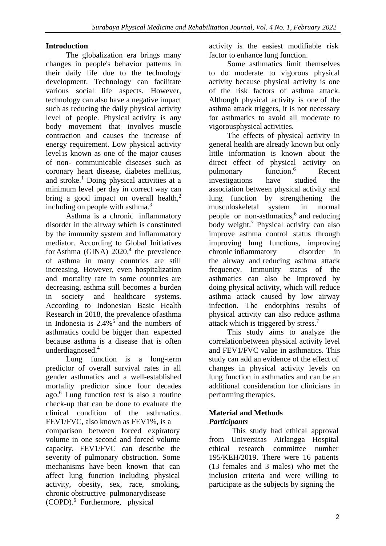# **Introduction**

The globalization era brings many changes in people's behavior patterns in their daily life due to the technology development. Technology can facilitate various social life aspects. However, technology can also have a negative impact such as reducing the daily physical activity level of people. Physical activity is any body movement that involves muscle contraction and causes the increase of energy requirement. Low physical activity level is known as one of the major causes of non- communicable diseases such as coronary heart disease, diabetes mellitus, and stroke.<sup>1</sup> Doing physical activities at a minimum level per day in correct way can bring a good impact on overall health, $2$ including on people with asthma. $3$ 

Asthma is a chronic inflammatory disorder in the airway which is constituted by the immunity system and inflammatory mediator. According to Global Initiatives for Asthma (GINA)  $2020$ <sup>4</sup>, the prevalence of asthma in many countries are still increasing. However, even hospitalization and mortality rate in some countries are decreasing, asthma still becomes a burden in society and healthcare systems. According to Indonesian Basic Health Research in 2018, the prevalence ofasthma in Indonesia is  $2.4\%$ <sup>5</sup> and the numbers of asthmatics could be bigger than expected because asthma is a disease that is often underdiagnosed.<sup>4</sup>

Lung function is a long-term predictor of overall survival rates in all gender asthmatics and a well-established mortality predictor since four decades ago.<sup>6</sup> Lung function test is also a routine check-up that can be done to evaluate the clinical condition of the asthmatics. FEV1/FVC, also known as FEV1%, is a comparison between forced expiratory volume in one second and forced volume capacity. FEV1/FVC can describe the severity of pulmonary obstruction. Some mechanisms have been known that can affect lung function including physical activity, obesity, sex, race, smoking, chronic obstructive pulmonarydisease (COPD).<sup>6</sup> Furthermore, physical

activity is the easiest modifiable risk factor to enhance lung function.

Some asthmatics limit themselves to do moderate to vigorous physical activity because physical activity is one of the risk factors of asthma attack. Although physical activity is one of the asthma attack triggers, it is not necessary for asthmatics to avoid all moderate to vigorousphysical activities.

The effects of physical activity in general health are already known but only little information is known about the direct effect of physical activity on pulmonary function.<sup>6</sup> Recent investigations have studied the association between physical activity and lung function by strengthening the musculoskeletal system in normal people or non-asthmatics,<sup>6</sup> and reducing body weight.<sup>7</sup> Physical activity can also improve asthma control status through improving lung functions, improving chronic inflammatory disorder in the airway and reducing asthma attack frequency. Immunity status of the asthmatics can also be improved by doing physical activity, which will reduce asthma attack caused by low airway infection. The endorphins results of physical activity can also reduce asthma attack which is triggered by stress.<sup>7</sup>

This study aims to analyze the correlationbetween physical activity level and FEV1/FVC value in asthmatics. This study can add an evidence of the effect of changes in physical activity levels on lung function in asthmatics and can be an additional consideration for clinicians in performing therapies.

# **Material and Methods** *Participants*

This study had ethical approval from Universitas Airlangga Hospital ethical research committee number 195/KEH/2019. There were 16 patients (13 females and 3 males) who met the inclusion criteria and were willing to participate as the subjects by signing the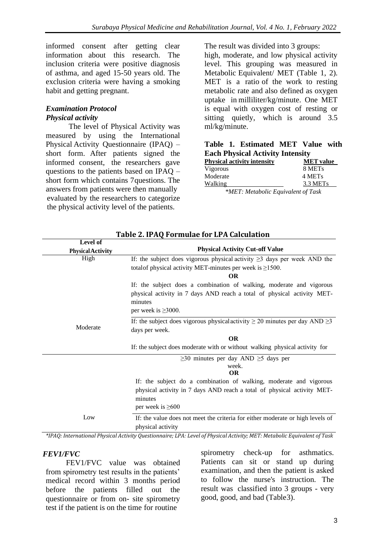informed consent after getting clear information about this research. The inclusion criteria were positive diagnosis of asthma, and aged 15-50 years old. The exclusion criteria were having a smoking habit and getting pregnant.

# *Examination Protocol Physical activity*

The level of Physical Activity was measured by using the International Physical Activity Questionnaire (IPAQ) – short form. After patients signed the informed consent, the researchers gave questions to the patients based on IPAQ – short form which contains 7questions. The answers from patients were then manually evaluated by the researchers to categorize the physical activity level of the patients.

The result was divided into 3 groups:

high, moderate, and low physical activity level. This grouping was measured in Metabolic Equivalent/ MET (Table 1, 2). MET is a ratio of the work to resting metabolic rate and also defined as oxygen uptake in milliliter/kg/minute. One MET is equal with oxygen cost of resting or sitting quietly, which is around 3.5 ml/kg/minute.

|  | Table 1. Estimated MET Value with       |  |  |
|--|-----------------------------------------|--|--|
|  | <b>Each Physical Activity Intensity</b> |  |  |

| <b>Physical activity intensity</b> | <b>MET</b> value     |
|------------------------------------|----------------------|
| Vigorous                           | 8 MET <sub>s</sub>   |
| Moderate                           | 4 MET <sub>s</sub>   |
| <b>Walking</b>                     | 3.3 MET <sub>s</sub> |
| *MET: Metabolic Equivalent of Task |                      |

| Level of                 |                                                                                                                                                                                         |  |  |
|--------------------------|-----------------------------------------------------------------------------------------------------------------------------------------------------------------------------------------|--|--|
| <b>Physical Activity</b> | <b>Physical Activity Cut-off Value</b>                                                                                                                                                  |  |  |
| High                     | If: the subject does vigorous physical activity $\geq$ 3 days per week AND the<br>total of physical activity MET-minutes per week is $\geq$ 1500.                                       |  |  |
|                          | <b>OR</b>                                                                                                                                                                               |  |  |
|                          | If: the subject does a combination of walking, moderate and vigorous<br>physical activity in 7 days AND reach a total of physical activity MET-<br>minutes<br>per week is $\geq 3000$ . |  |  |
|                          |                                                                                                                                                                                         |  |  |
| Moderate                 | If: the subject does vigorous physical activity $\geq 20$ minutes per day AND $\geq 3$                                                                                                  |  |  |
|                          | days per week.                                                                                                                                                                          |  |  |
|                          | <b>OR</b>                                                                                                                                                                               |  |  |
|                          | If: the subject does moderate with or without walking physical activity for                                                                                                             |  |  |
|                          | $\geq$ 30 minutes per day AND $\geq$ 5 days per                                                                                                                                         |  |  |
|                          | week.                                                                                                                                                                                   |  |  |
|                          | <b>OR</b>                                                                                                                                                                               |  |  |
|                          | If: the subject do a combination of walking, moderate and vigorous                                                                                                                      |  |  |
|                          | physical activity in 7 days AND reach a total of physical activity MET-                                                                                                                 |  |  |
|                          | minutes<br>per week is $\geq 600$                                                                                                                                                       |  |  |
| Low                      | If: the value does not meet the criteria for either moderate or high levels of<br>physical activity                                                                                     |  |  |

# **Table 2. IPAQ Formulae for LPA Calculation**

*\*IPAQ: International Physical Activity Questionnaire; LPA: Level of Physical Activity; MET: Metabolic Equivalent of Task*

#### *FEV1/FVC*

FEV1/FVC value was obtained from spirometry test results in the patients' medical record within 3 months period before the patients filled out the questionnaire or from on- site spirometry test if the patient is on the time for routine

spirometry check-up for asthmatics. Patients can sit or stand up during examination, and then the patient is asked to follow the nurse's instruction. The result was classified into 3 groups - very good, good, and bad (Table3).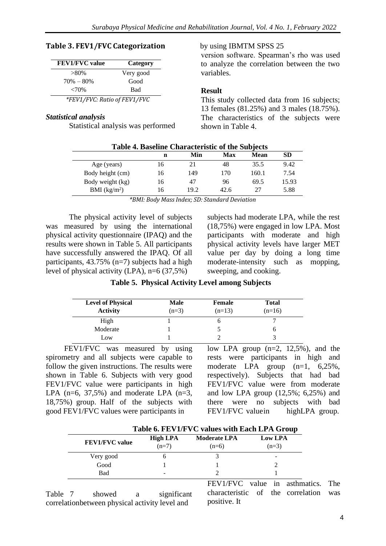#### **Table 3. FEV1/FVC Categorization**

| <b>FEV1/FVC</b> value        | Category  |  |  |
|------------------------------|-----------|--|--|
| $>80\%$                      | Very good |  |  |
| $70\% - 80\%$                | Good      |  |  |
| ${<}70\%$                    | Bad       |  |  |
| *FEV1/FVC: Ratio of FEV1/FVC |           |  |  |

#### *Statistical analysis*

Statistical analysis was performed

#### by using IBMTM SPSS 25

version software. Spearman's rho was used to analyze the correlation between the two variables.

# **Result**

This study collected data from 16 subjects; 13 females (81.25%) and 3 males (18.75%). The characteristics of the subjects were shown in Table 4.

| <b>Table 4. Baseline Characteristic of the Subjects</b> |    |      |      |             |           |
|---------------------------------------------------------|----|------|------|-------------|-----------|
|                                                         | n  | Min  | Max  | <b>Mean</b> | <b>SD</b> |
| Age (years)                                             | 16 | 21   | 48   | 35.5        | 9.42      |
| Body height (cm)                                        | 16 | 149  | 170  | 160.1       | 7.54      |
| Body weight (kg)                                        | 16 | 47   | 96   | 69.5        | 15.93     |
| BMI $(kg/m2)$                                           | 16 | 19.2 | 42.6 | 27          | 5.88      |

*\*BMI: Body Mass Index; SD: Standard Deviation*

The physical activity level of subjects was measured by using the international physical activity questionnaire (IPAQ) and the results were shown in Table 5. All participants have successfully answered the IPAQ. Of all participants, 43.75% (n=7) subjects had a high level of physical activity (LPA),  $n=6$  (37,5%)

subjects had moderate LPA, while the rest (18,75%) were engaged in low LPA. Most participants with moderate and high physical activity levels have larger MET value per day by doing a long time moderate-intensity such as mopping, sweeping, and cooking.

| Table 5. Physical Activity Level among Subjects |  |  |  |  |  |  |
|-------------------------------------------------|--|--|--|--|--|--|
|-------------------------------------------------|--|--|--|--|--|--|

| <b>Level of Physical</b><br><b>Activity</b> | <b>Male</b><br>$(n=3)$ | Female<br>$(n=13)$ | <b>Total</b><br>$(n=16)$ |
|---------------------------------------------|------------------------|--------------------|--------------------------|
| High                                        |                        |                    |                          |
| Moderate                                    |                        |                    |                          |
| Low                                         |                        |                    |                          |

FEV1/FVC was measured by using spirometry and all subjects were capable to follow the given instructions. The results were shown in Table 6. Subjects with very good FEV1/FVC value were participants in high LPA  $(n=6, 37.5%)$  and moderate LPA  $(n=3, 5%)$ 18,75%) group. Half of the subjects with good FEV1/FVC values were participants in

low LPA group  $(n=2, 12,5\%)$ , and the rests were participants in high and moderate LPA group (n=1, 6,25%, respectively). Subjects that had bad FEV1/FVC value were from moderate and low LPA group (12,5%; 6,25%) and there were no subjects with bad FEV1/FVC valuein highLPA group.

|                       | Table 6. FEVI/FVC values with Each LPA Group |                                |                           |  |  |
|-----------------------|----------------------------------------------|--------------------------------|---------------------------|--|--|
| <b>FEV1/FVC</b> value | <b>High LPA</b><br>$(n=7)$                   | <b>Moderate LPA</b><br>$(n=6)$ | <b>Low LPA</b><br>$(n=3)$ |  |  |
| Very good             |                                              |                                |                           |  |  |
| Good                  |                                              |                                |                           |  |  |
| Bad                   |                                              |                                |                           |  |  |
|                       |                                              | TITI 74/TII 7 <sub>C</sub>     | п.                        |  |  |

**Table 6. FEV1/FVC values with Each LPA Group**

Table 7 showed a significant correlationbetween physical activity level and

FEV1/FVC value in asthmatics. The characteristic of the correlation was positive. It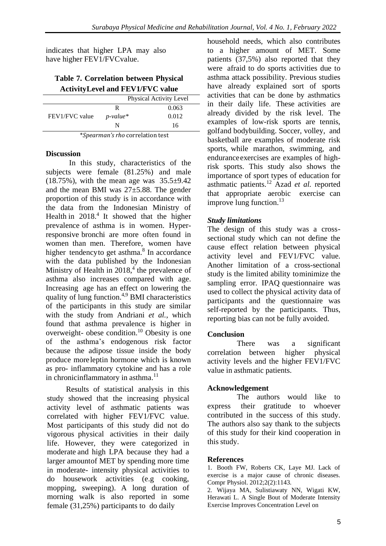indicates that higher LPA may also have higher FEV1/FVCvalue.

# **Table 7. Correlation between Physical ActivityLevel and FEV1/FVC value**

#### **Discussion**

In this study, characteristics of the subjects were female (81.25%) and male  $(18.75\%)$ , with the mean age was  $35.5\pm9.42$ and the mean BMI was 27±5.88. The gender proportion of this study is in accordance with the data from the Indonesian Ministry of Health in  $2018<sup>4</sup>$  It showed that the higher prevalence of asthma is in women. Hyperresponsive bronchi are more often found in women than men. Therefore, women have higher tendencyto get asthma.<sup>8</sup> In accordance with the data published by the Indonesian Ministry of Health in 2018,<sup>4</sup> the prevalence of asthma also increases compared with age. Increasing age has an effect on lowering the quality of lung function.4,9 BMI characteristics of the participants in this study are similar with the study from Andriani *et al.*, which found that asthma prevalence is higher in overweight- obese condition.<sup>10</sup> Obesity is one of the asthma's endogenous risk factor because the adipose tissue inside the body produce moreleptin hormone which is known as pro- inflammatory cytokine and has a role in chronicinflammatory in asthma. $11$ 

Results of statistical analysis in this study showed that the increasing physical activity level of asthmatic patients was correlated with higher FEV1/FVC value. Most participants of this study did not do vigorous physical activities in their daily life. However, they were categorized in moderate and high LPA because they had a larger amountof MET by spending more time in moderate- intensity physical activities to do housework activities (e.g cooking, mopping, sweeping). A long duration of morning walk is also reported in some female (31,25%) participants to do daily

household needs, which also contributes to a higher amount of MET. Some patients (37,5%) also reported that they were afraid to do sports activities due to asthma attack possibility. Previous studies have already explained sort of sports activities that can be done by asthmatics in their daily life. These activities are already divided by the risk level. The examples of low-risk sports are tennis, golfand bodybuilding. Soccer, volley, and basketball are examples of moderate risk sports, while marathon, swimming, and enduranceexercises are examples of highrisk sports. This study also shows the importance of sport types of education for asthmatic patients.<sup>12</sup> Azad *et al.* reported that appropriate aerobic exercise can improve lung function.<sup>13</sup>

# *Study limitations*

The design of this study was a crosssectional study which can not define the cause effect relation between physical activity level and FEV1/FVC value. Another limitation of a cross-sectional study is the limited ability tominimize the sampling error. IPAQ questionnaire was used to collect the physical activity data of participants and the questionnaire was self-reported by the participants. Thus, reporting bias can not be fully avoided.

# **Conclusion**

There was a significant correlation between higher physical activity levels and the higher FEV1/FVC value in asthmatic patients.

# **Acknowledgement**

The authors would like to express their gratitude to whoever contributed in the success of this study. The authors also say thank to the subjects of this study for their kind cooperation in this study.

# **References**

1. Booth FW, Roberts CK, Laye MJ. Lack of exercise is a major cause of chronic diseases. Compr Physiol. 2012;2(2):1143.

2. Wijaya MA, Sulistiawaty NN, Wigati KW, Herawati L. A Single Bout of Moderate Intensity Exercise Improves Concentration Level on